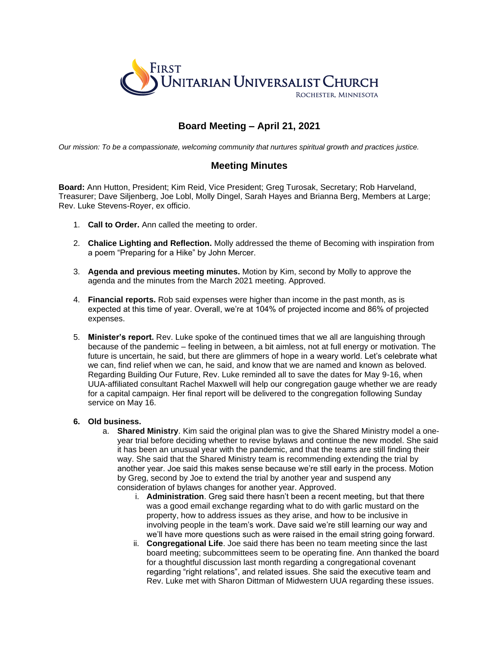

# **Board Meeting – April 21, 2021**

*Our mission: To be a compassionate, welcoming community that nurtures spiritual growth and practices justice.*

## **Meeting Minutes**

**Board:** Ann Hutton, President; Kim Reid, Vice President; Greg Turosak, Secretary; Rob Harveland, Treasurer; Dave Siljenberg, Joe Lobl, Molly Dingel, Sarah Hayes and Brianna Berg, Members at Large; Rev. Luke Stevens-Royer, ex officio.

- 1. **Call to Order.** Ann called the meeting to order.
- 2. **Chalice Lighting and Reflection.** Molly addressed the theme of Becoming with inspiration from a poem "Preparing for a Hike" by John Mercer.
- 3. **Agenda and previous meeting minutes.** Motion by Kim, second by Molly to approve the agenda and the minutes from the March 2021 meeting. Approved.
- 4. **Financial reports.** Rob said expenses were higher than income in the past month, as is expected at this time of year. Overall, we're at 104% of projected income and 86% of projected expenses.
- 5. **Minister's report.** Rev. Luke spoke of the continued times that we all are languishing through because of the pandemic – feeling in between, a bit aimless, not at full energy or motivation. The future is uncertain, he said, but there are glimmers of hope in a weary world. Let's celebrate what we can, find relief when we can, he said, and know that we are named and known as beloved. Regarding Building Our Future, Rev. Luke reminded all to save the dates for May 9-16, when UUA-affiliated consultant Rachel Maxwell will help our congregation gauge whether we are ready for a capital campaign. Her final report will be delivered to the congregation following Sunday service on May 16.

#### **6. Old business.**

- a. **Shared Ministry**. Kim said the original plan was to give the Shared Ministry model a oneyear trial before deciding whether to revise bylaws and continue the new model. She said it has been an unusual year with the pandemic, and that the teams are still finding their way. She said that the Shared Ministry team is recommending extending the trial by another year. Joe said this makes sense because we're still early in the process. Motion by Greg, second by Joe to extend the trial by another year and suspend any consideration of bylaws changes for another year. Approved.
	- i. **Administration**. Greg said there hasn't been a recent meeting, but that there was a good email exchange regarding what to do with garlic mustard on the property, how to address issues as they arise, and how to be inclusive in involving people in the team's work. Dave said we're still learning our way and we'll have more questions such as were raised in the email string going forward.
	- ii. **Congregational Life**. Joe said there has been no team meeting since the last board meeting; subcommittees seem to be operating fine. Ann thanked the board for a thoughtful discussion last month regarding a congregational covenant regarding "right relations", and related issues. She said the executive team and Rev. Luke met with Sharon Dittman of Midwestern UUA regarding these issues.